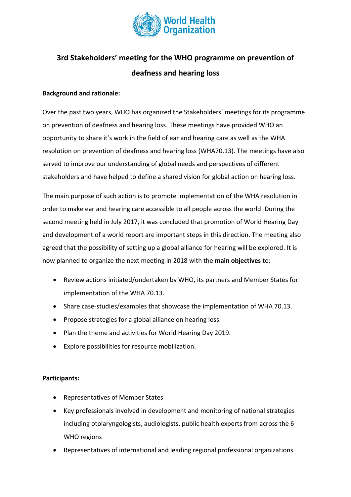

## **3rd Stakeholders' meeting for the WHO programme on prevention of deafness and hearing loss**

## **Background and rationale:**

Over the past two years, WHO has organized the Stakeholders' meetings for its programme on prevention of deafness and hearing loss. These meetings have provided WHO an opportunity to share it's work in the field of ear and hearing care as well as the WHA resolution on prevention of deafness and hearing loss (WHA70.13). The meetings have also served to improve our understanding of global needs and perspectives of different stakeholders and have helped to define a shared vision for global action on hearing loss.

The main purpose of such action is to promote implementation of the WHA resolution in order to make ear and hearing care accessible to all people across the world. During the second meeting held in July 2017, it was concluded that promotion of World Hearing Day and development of a world report are important steps in this direction. The meeting also agreed that the possibility of setting up a global alliance for hearing will be explored. It is now planned to organize the next meeting in 2018 with the **main objectives** to:

- Review actions initiated/undertaken by WHO, its partners and Member States for implementation of the WHA 70.13.
- Share case-studies/examples that showcase the implementation of WHA 70.13.
- Propose strategies for a global alliance on hearing loss.
- Plan the theme and activities for World Hearing Day 2019.
- Explore possibilities for resource mobilization.

## **Participants:**

- Representatives of Member States
- Key professionals involved in development and monitoring of national strategies including otolaryngologists, audiologists, public health experts from across the 6 WHO regions
- Representatives of international and leading regional professional organizations